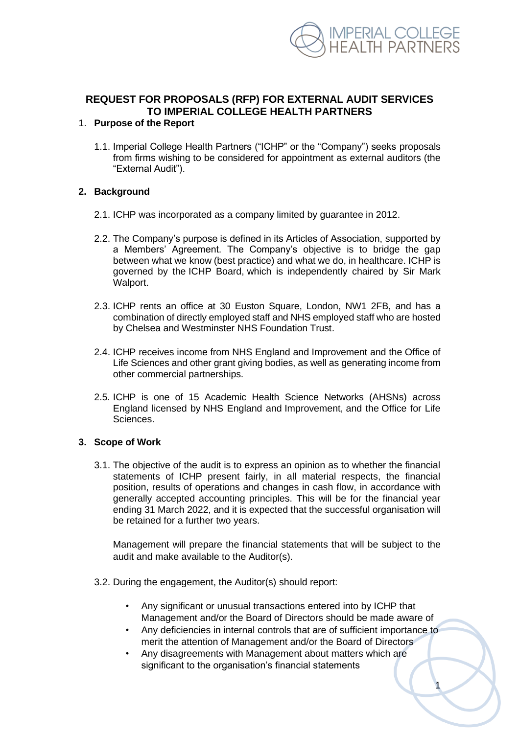

# **REQUEST FOR PROPOSALS (RFP) FOR EXTERNAL AUDIT SERVICES TO IMPERIAL COLLEGE HEALTH PARTNERS**

#### 1. **Purpose of the Report**

1.1. Imperial College Health Partners ("ICHP" or the "Company") seeks proposals from firms wishing to be considered for appointment as external auditors (the "External Audit").

#### **2. Background**

- 2.1. ICHP was incorporated as a company limited by guarantee in 2012.
- 2.2. The Company's purpose is defined in its Articles of Association, supported by a Members' Agreement. The Company's objective is to bridge the gap between what we know (best practice) and what we do, in healthcare. ICHP is governed by the ICHP Board, which is independently chaired by Sir Mark Walport.
- 2.3. ICHP rents an office at 30 Euston Square, London, NW1 2FB, and has a combination of directly employed staff and NHS employed staff who are hosted by Chelsea and Westminster NHS Foundation Trust.
- 2.4. ICHP receives income from NHS England and Improvement and the Office of Life Sciences and other grant giving bodies, as well as generating income from other commercial partnerships.
- 2.5. ICHP is one of 15 Academic Health Science Networks (AHSNs) across England licensed by NHS England and Improvement, and the Office for Life Sciences.

#### **3. Scope of Work**

3.1. The objective of the audit is to express an opinion as to whether the financial statements of ICHP present fairly, in all material respects, the financial position, results of operations and changes in cash flow, in accordance with generally accepted accounting principles. This will be for the financial year ending 31 March 2022, and it is expected that the successful organisation will be retained for a further two years.

Management will prepare the financial statements that will be subject to the audit and make available to the Auditor(s).

- 3.2. During the engagement, the Auditor(s) should report:
	- Any significant or unusual transactions entered into by ICHP that Management and/or the Board of Directors should be made aware of
	- Any deficiencies in internal controls that are of sufficient importance to merit the attention of Management and/or the Board of Directors

1

• Any disagreements with Management about matters which are significant to the organisation's financial statements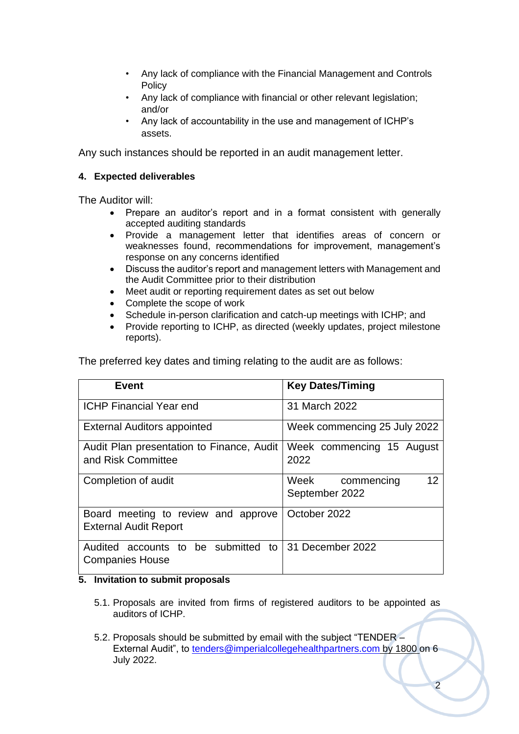- Any lack of compliance with the Financial Management and Controls **Policy**
- Any lack of compliance with financial or other relevant legislation; and/or
- Any lack of accountability in the use and management of ICHP's assets.

Any such instances should be reported in an audit management letter.

### **4. Expected deliverables**

The Auditor will:

- Prepare an auditor's report and in a format consistent with generally accepted auditing standards
- Provide a management letter that identifies areas of concern or weaknesses found, recommendations for improvement, management's response on any concerns identified
- Discuss the auditor's report and management letters with Management and the Audit Committee prior to their distribution
- Meet audit or reporting requirement dates as set out below
- Complete the scope of work
- Schedule in-person clarification and catch-up meetings with ICHP; and
- Provide reporting to ICHP, as directed (weekly updates, project milestone reports).

The preferred key dates and timing relating to the audit are as follows:

| <b>Event</b>                                                                   | <b>Key Dates/Timing</b>                    |
|--------------------------------------------------------------------------------|--------------------------------------------|
| <b>ICHP Financial Year end</b>                                                 | 31 March 2022                              |
| <b>External Auditors appointed</b>                                             | Week commencing 25 July 2022               |
| Audit Plan presentation to Finance, Audit<br>and Risk Committee                | Week commencing 15 August<br>2022          |
| Completion of audit                                                            | 12<br>Week<br>commencing<br>September 2022 |
| Board meeting to review and approve<br><b>External Audit Report</b>            | October 2022                               |
| Audited accounts to be submitted to 31 December 2022<br><b>Companies House</b> |                                            |

### **5. Invitation to submit proposals**

- 5.1. Proposals are invited from firms of registered auditors to be appointed as auditors of ICHP.
- 5.2. Proposals should be submitted by email with the subject "TENDER External Audit", to [tenders@imperialcollegehealthpartners.com](mailto:tenders@imperialcollegehealthpartners.com) by 1800 on 6 July 2022.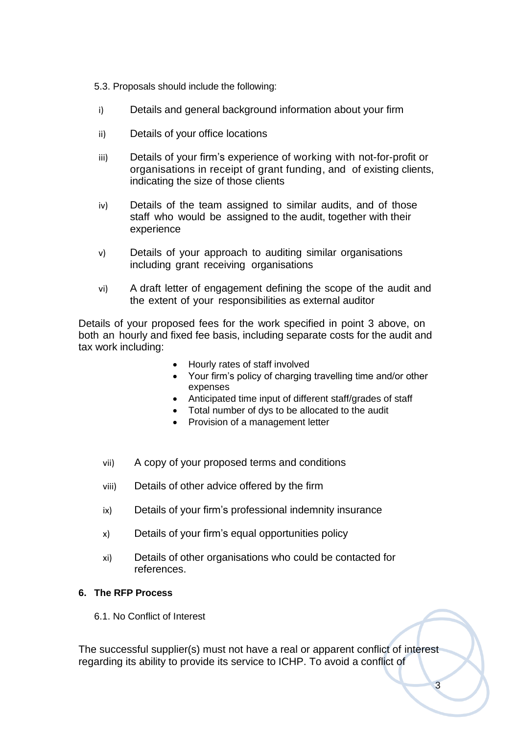5.3. Proposals should include the following:

- i) Details and general background information about your firm
- ii) Details of your office locations
- iii) Details of your firm's experience of working with not-for-profit or organisations in receipt of grant funding, and of existing clients, indicating the size of those clients
- iv) Details of the team assigned to similar audits, and of those staff who would be assigned to the audit, together with their experience
- v) Details of your approach to auditing similar organisations including grant receiving organisations
- vi) A draft letter of engagement defining the scope of the audit and the extent of your responsibilities as external auditor

Details of your proposed fees for the work specified in point 3 above, on both an hourly and fixed fee basis, including separate costs for the audit and tax work including:

- Hourly rates of staff involved
- Your firm's policy of charging travelling time and/or other expenses
- Anticipated time input of different staff/grades of staff
- Total number of dys to be allocated to the audit
- Provision of a management letter
- vii) A copy of your proposed terms and conditions
- viii) Details of other advice offered by the firm
- ix) Details of your firm's professional indemnity insurance
- x) Details of your firm's equal opportunities policy
- xi) Details of other organisations who could be contacted for references.

#### **6. The RFP Process**

6.1. No Conflict of Interest

The successful supplier(s) must not have a real or apparent conflict of interest regarding its ability to provide its service to ICHP. To avoid a conflict of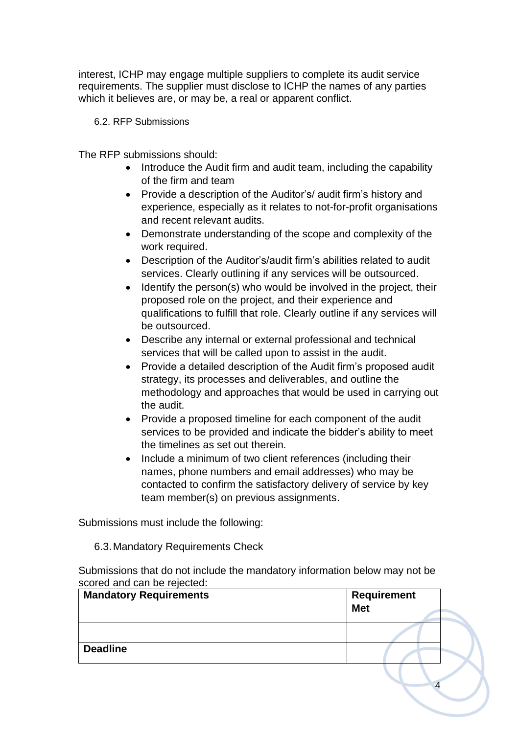interest, ICHP may engage multiple suppliers to complete its audit service requirements. The supplier must disclose to ICHP the names of any parties which it believes are, or may be, a real or apparent conflict.

6.2. RFP Submissions

The RFP submissions should:

- Introduce the Audit firm and audit team, including the capability of the firm and team
- Provide a description of the Auditor's/ audit firm's history and experience, especially as it relates to not-for-profit organisations and recent relevant audits.
- Demonstrate understanding of the scope and complexity of the work required.
- Description of the Auditor's/audit firm's abilities related to audit services. Clearly outlining if any services will be outsourced.
- Identify the person(s) who would be involved in the project, their proposed role on the project, and their experience and qualifications to fulfill that role. Clearly outline if any services will be outsourced.
- Describe any internal or external professional and technical services that will be called upon to assist in the audit.
- Provide a detailed description of the Audit firm's proposed audit strategy, its processes and deliverables, and outline the methodology and approaches that would be used in carrying out the audit.
- Provide a proposed timeline for each component of the audit services to be provided and indicate the bidder's ability to meet the timelines as set out therein.
- Include a minimum of two client references (including their names, phone numbers and email addresses) who may be contacted to confirm the satisfactory delivery of service by key team member(s) on previous assignments.

Submissions must include the following:

6.3.Mandatory Requirements Check

Submissions that do not include the mandatory information below may not be scored and can be rejected:

| <b>Mandatory Requirements</b> | <b>Requirement</b><br><b>Met</b> |
|-------------------------------|----------------------------------|
|                               |                                  |
| <b>Deadline</b>               |                                  |
|                               |                                  |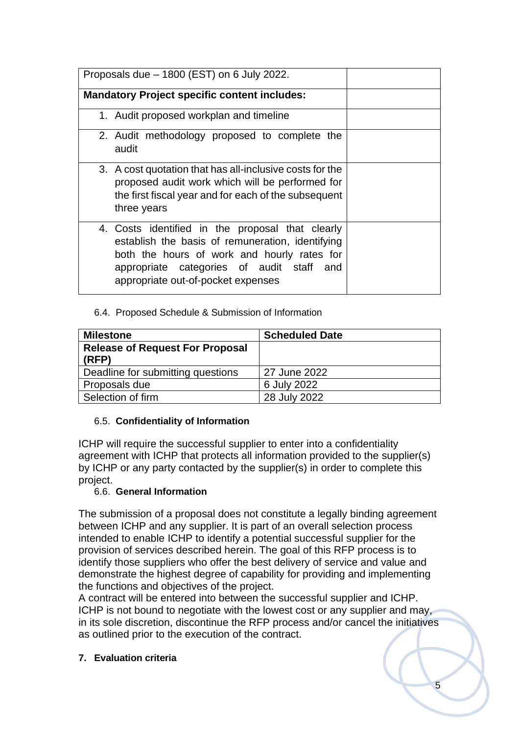| Proposals due - 1800 (EST) on 6 July 2022.                                                                                                                                                                                                |  |
|-------------------------------------------------------------------------------------------------------------------------------------------------------------------------------------------------------------------------------------------|--|
| <b>Mandatory Project specific content includes:</b>                                                                                                                                                                                       |  |
| 1. Audit proposed workplan and timeline                                                                                                                                                                                                   |  |
| 2. Audit methodology proposed to complete the<br>audit                                                                                                                                                                                    |  |
| 3. A cost quotation that has all-inclusive costs for the<br>proposed audit work which will be performed for<br>the first fiscal year and for each of the subsequent<br>three years                                                        |  |
| 4. Costs identified in the proposal that clearly<br>establish the basis of remuneration, identifying<br>both the hours of work and hourly rates for<br>appropriate categories of audit staff<br>and<br>appropriate out-of-pocket expenses |  |

# 6.4. Proposed Schedule & Submission of Information

| <b>Milestone</b>                       | <b>Scheduled Date</b> |
|----------------------------------------|-----------------------|
| <b>Release of Request For Proposal</b> |                       |
| (RFP)                                  |                       |
| Deadline for submitting questions      | 27 June 2022          |
| Proposals due                          | 6 July 2022           |
| Selection of firm                      | 28 July 2022          |

## 6.5. **Confidentiality of Information**

ICHP will require the successful supplier to enter into a confidentiality agreement with ICHP that protects all information provided to the supplier(s) by ICHP or any party contacted by the supplier(s) in order to complete this project.

## 6.6. **General Information**

The submission of a proposal does not constitute a legally binding agreement between ICHP and any supplier. It is part of an overall selection process intended to enable ICHP to identify a potential successful supplier for the provision of services described herein. The goal of this RFP process is to identify those suppliers who offer the best delivery of service and value and demonstrate the highest degree of capability for providing and implementing the functions and objectives of the project.

A contract will be entered into between the successful supplier and ICHP. ICHP is not bound to negotiate with the lowest cost or any supplier and may, in its sole discretion, discontinue the RFP process and/or cancel the initiatives as outlined prior to the execution of the contract.

**7. Evaluation criteria**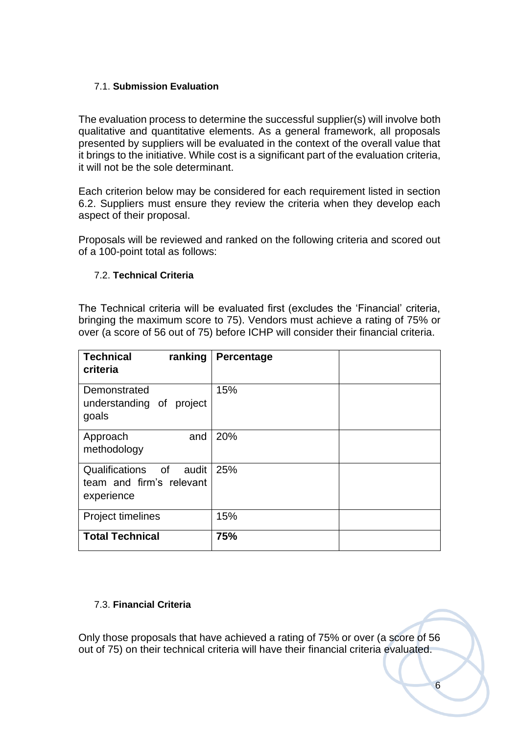# 7.1. **Submission Evaluation**

The evaluation process to determine the successful supplier(s) will involve both qualitative and quantitative elements. As a general framework, all proposals presented by suppliers will be evaluated in the context of the overall value that it brings to the initiative. While cost is a significant part of the evaluation criteria, it will not be the sole determinant.

Each criterion below may be considered for each requirement listed in section 6.2. Suppliers must ensure they review the criteria when they develop each aspect of their proposal.

Proposals will be reviewed and ranked on the following criteria and scored out of a 100-point total as follows:

### 7.2. **Technical Criteria**

The Technical criteria will be evaluated first (excludes the 'Financial' criteria, bringing the maximum score to 75). Vendors must achieve a rating of 75% or over (a score of 56 out of 75) before ICHP will consider their financial criteria.

| <b>Technical</b><br>ranking<br>criteria                              | Percentage |  |
|----------------------------------------------------------------------|------------|--|
| Demonstrated<br>understanding of project<br>goals                    | 15%        |  |
| and<br>Approach<br>methodology                                       | 20%        |  |
| Qualifications of<br>audit<br>team and firm's relevant<br>experience | 25%        |  |
| <b>Project timelines</b>                                             | 15%        |  |
| <b>Total Technical</b>                                               | 75%        |  |

## 7.3. **Financial Criteria**

Only those proposals that have achieved a rating of 75% or over (a score of 56 out of 75) on their technical criteria will have their financial criteria evaluated.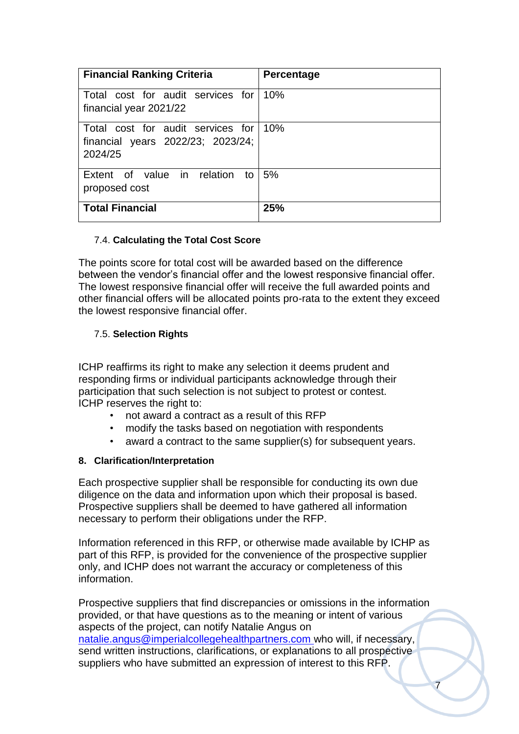| <b>Financial Ranking Criteria</b>                                                 | Percentage |
|-----------------------------------------------------------------------------------|------------|
| Total cost for audit services for<br>financial year 2021/22                       | 10%        |
| Total cost for audit services for<br>financial years 2022/23; 2023/24;<br>2024/25 | 10%        |
| Extent of value in relation to<br>proposed cost                                   | 5%         |
| <b>Total Financial</b>                                                            | 25%        |

## 7.4. **Calculating the Total Cost Score**

The points score for total cost will be awarded based on the difference between the vendor's financial offer and the lowest responsive financial offer. The lowest responsive financial offer will receive the full awarded points and other financial offers will be allocated points pro-rata to the extent they exceed the lowest responsive financial offer.

### 7.5. **Selection Rights**

ICHP reaffirms its right to make any selection it deems prudent and responding firms or individual participants acknowledge through their participation that such selection is not subject to protest or contest. ICHP reserves the right to:

- not award a contract as a result of this RFP
- modify the tasks based on negotiation with respondents
- award a contract to the same supplier(s) for subsequent years.

## **8. Clarification/Interpretation**

Each prospective supplier shall be responsible for conducting its own due diligence on the data and information upon which their proposal is based. Prospective suppliers shall be deemed to have gathered all information necessary to perform their obligations under the RFP.

Information referenced in this RFP, or otherwise made available by ICHP as part of this RFP, is provided for the convenience of the prospective supplier only, and ICHP does not warrant the accuracy or completeness of this information.

Prospective suppliers that find discrepancies or omissions in the information provided, or that have questions as to the meaning or intent of various aspects of the project, can notify Natalie Angus on [natalie.angus@imperialcollegehealthpartners.com](mailto:natalie.angus@imperialcollegehealthpartners.com) who will, if necessary, send written instructions, clarifications, or explanations to all prospective suppliers who have submitted an expression of interest to this RFP.